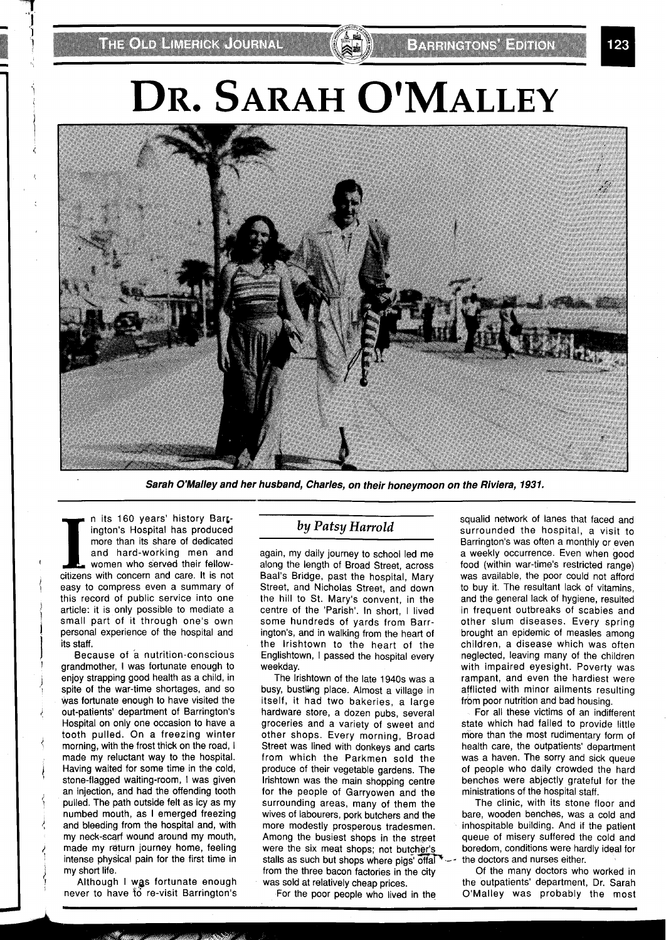## DR. SARAH O'MALLEY



**Sarah O'Malley and her husband, Charles, on their honeymoon on the Riviera, 1931.** 

n its 160 years' history Barcington's Hospital has produced more than its share of dedicated and hard-working men and women who served their fellowcitizens with concern and care. It is not easy to compress even a summary of this record of public service into one article: it is only possible to mediate a small part of it through one's own personal experience of the hospital and its staff.

Because of a nutrition-conscious grandmother, I was fortunate enough to enjoy strapping good health as a child, in spite of the war-time shortages, and so was fortunate enough to have visited the out-patients' department of Barrington's Hospital on only one occasion to have a tooth pulled. On a freezing winter morning, with the frost thick on the road, I made my reluctant way to the hospital. Having waited for some time in the cold, stone-flagged waiting-room, I was given an injection, and had the offending tooth pulled. The path outside felt as icy as my numbed mouth, as I emerged freezing and bleeding from the hospital and, with my neck-scarf wound around my mouth, made my return journey home, feeling intense physical pain for the first time in my short life.

Although I was fortunate enough never to have **to** re-visit Barrington's

## *by Patsy Harrold*

again, my daily journey to school led me along the length of Broad Street, across Baal's Bridge, past the hospital, Mary Street, and Nicholas Street, and down the hill to St. Mary's convent, in the centre of the 'Parish'. In short, I lived some hundreds of yards from Barrington's, and in walking from the heart of the lrishtown to the heart of the Englishtown, I passed the hospital every weekday.

The lrishtown of the late 1940s was a busy, bustling place. Almost a village in itself, it had two bakeries, a large hardware store, a dozen pubs, several groceries and a variety of sweet and other shops. Every morning, Broad Street was lined with donkeys and carts from which the Parkmen sold the produce of their vegetable gardens. The lrishtown was the main shopping centre for the people of Garryowen and the surrounding areas, many of them the wives of labourers, pork butchers and the more modestly prosperous tradesmen. Among the busiest shops in the street were the six meat shops; not butcher's stalls as such but shops where pigs offal  $\sim$ - the doctors and nurses either.<br>from the three bacon factories in the city of the many doctors who worked in from the three bacon factories in the city of the many doctors who worked in was sold at relatively cheap prices. the outpatients' department, Dr. Sarah was sold at relatively cheap prices.

squalid network of lanes that faced and surrounded the hospital, a visit to Barrington's was often a monthly or even a weekly occurrence. Even when good food (within war-time's restricted range) was available, the poor could not afford to buy it. The resultant lack of vitamins, and the general lack of hygiene, resulted in frequent outbreaks of scabies and other slum diseases. Every spring brought an epidemic of measles among children, a disease which was often neglected, leaving many of the children with impaired eyesight. Poverty was rampant, and even the hardiest were afflicted with minor ailments resulting from poor nutrition and bad housing.

For all these victims of an indifferent state which had failed to provide little more than the most rudimentary form of health care, the outpatients' department was a haven. The sorry and sick queue of people who daily crowded the hard benches were abjectly grateful for the ministrations of the hospital staff.

The clinic, with its stone floor and bare, wooden benches, was a cold and inhospitable building. And if the patient queue of misery suffered the cold and boredom, conditions were hardly ideal for

For the poor people who lived in the O'Malley was probably the most